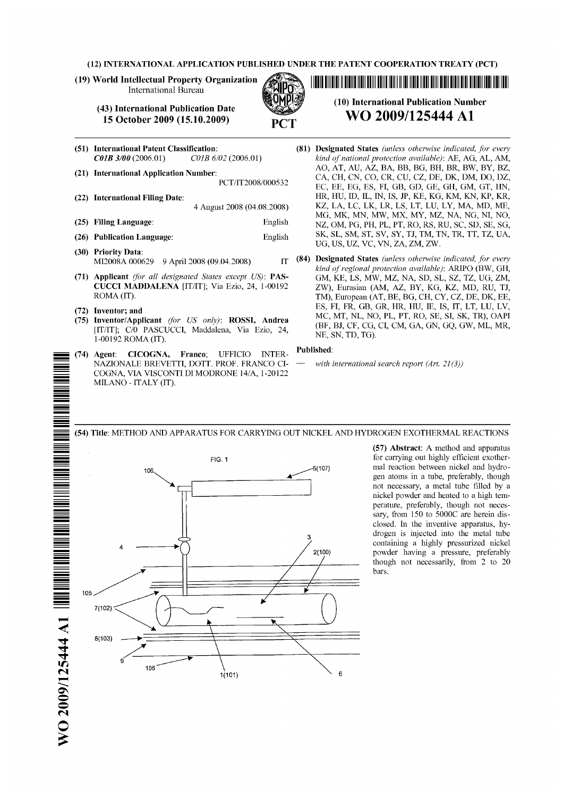(12) INTERNATIONAL APPLICATION PUBLISHED UNDER THE PATENT COOPERATION TREATY (PCT)

(19) World Intellectual Property Organization International Bureau

- (51) International Patent Classification: *CO1B 3/00* (2006.01) *CO1B 6/02* (2006.01)
- (21) International Application Number: PCT/IT2008/000532
- (22) International Filing Date: 4 August 2008 (04.08.2008)
- (25) Filing Language: English
- (26) Publication Language: English
- (30) Priority Data: MI2008A 000629 9 April 2008 (09.04.2008) IT
- (71) Applicant *(for all designated States except US):* PAS-CUCCI MADDALENA [IT/IT]; Via Ezio, 24, 1-00192 ROMA (IT).
- (72) Inventor; and
- (75) Inventor/Applicant *(for US only):* ROSSI, Andrea [IT/IT]; C/0 PASCUCCI, Maddalena, Via Ezio, 24, 1-00192 ROMA (IT).
- (74) Agent: CICOGNA, Franco; UFFICIO INTER-NAZIONALE BREVETTI, DOTT. PROF. FRANCO CI-COGNA, VIA VISCONTI Dl MODRONE 14/A, 1-20122 MILANO - ITALY (IT).

(10) International Publication Number **WO 2009/125444 A1** (81) Designated States *(unless otherwise indicated, for every kind of national protection available):* AE, AG, AL, AM, AO, AT, AU, AZ, BA, BB, BG, BH, BR, BW, BY, BZ, CA, CH, CN, CO, CR, CU, CZ, DE, DK, DM, DO, DZ, EC, EE, EG, ES, Fl, GB, GD, GE, GH, GM, GT, HN, HR, HU, ID, IL, IN, IS, JP, KE, KG, KM, KN, KP, KR,

11111111111101111111110111111111110111 11111111111111111111111111111111111011110111111

- KZ, LA, LC, LK, LR, LS, LT, LU, LY, MA, MD, ME, MG, MK, MN, MW, MX, MY, MZ, NA, NG, NI, NO, NZ, OM, PG, PH, PL, PT, RO, RS, RU, SC, SD, SE, SG, SK, SL, SM, ST, SV, SY, TJ, TM, TN, TR, TT, TZ, UA, UG, US, UZ, VC, VN, ZA, ZM, ZW. (84) Designated States *(unless otherwise indicated, for every kind of regional protection available):* ARIPO (BW, OH,
	- GM, KE, LS, MW, MZ, NA, SD, SL, SZ, TZ, UG, ZM, ZW), Eurasian (AM, AZ, BY, KG, KZ, MD, RU, TJ, TM), European (AT, BE, BG, CH, CY, CZ, DE, DK, EE, ES, FI, FR, GB, GR, HR, HU, 1E, IS, IT, LT, LU, LV, MC, MT, NL, NO, PL, PT, RO, SE, SI, SK, TR), OAPI (BF, BJ, CF, CG, CI, CM, GA, GN, GQ, GW, ML, MR, NE, SN, TD, TG).

#### Published:

with international search report (Art. 21(3))



(57) Abstract: A method and apparatus gen atoms in a tube, preferably, though not necessary, a metal tube filled by a nickel powder and heated to a high temperature, preferably, though not necessary, from 150 to 5000C are herein disclosed. In the inventive apparatus, hydrogen is injected into the metal tube containing a highly pressurized nickel<br>2(100) bowder having a pressure, preferably powder having a pressure, preferably though not necessarily, from 2 to 20 bars.

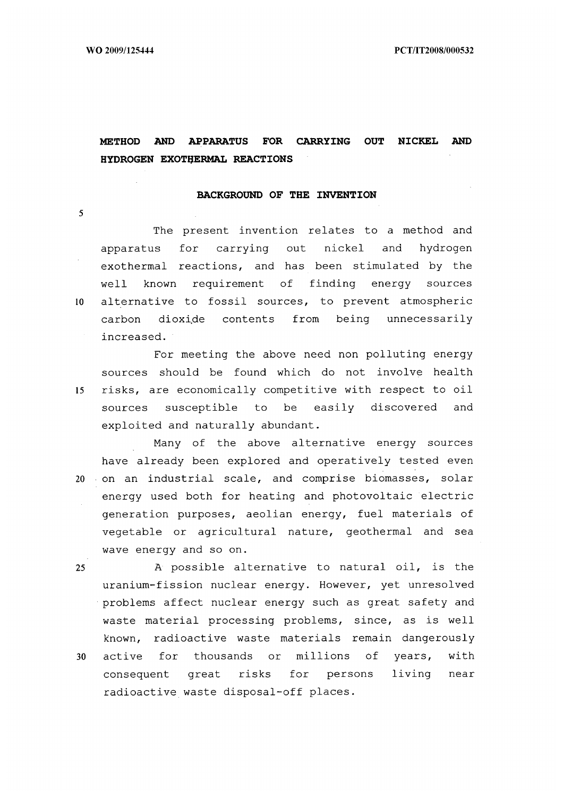WO 2009/125444 PCT/1T2008/000532

# **METHOD AND APPARATUS FOR CARRYING OUT NICKEL AND HYDROGEN EXOTHERMAL REACTIONS**

#### **BACKGROUND OF THE INVENTION**

The present invention relates to a method and apparatus for carrying out nickel and hydrogen exothermal reactions, and has been stimulated by the well known requirement of finding energy sources 10 alternative to fossil sources, to prevent atmospheric carbon dioxide contents from being unnecessarily increased.

For meeting the above need non polluting energy sources should be found which do not involve health 15 risks, are economically competitive with respect to oil sources susceptible to be easily discovered and exploited and naturally abundant.

Many of the above alternative energy sources have already been explored and operatively tested even 20 on an industrial scale, and comprise biomasses, solar energy used both for heating and photovoltaic electric generation purposes, aeolian energy, fuel materials of vegetable or agricultural nature, geothermal and sea wave energy and so on.

25 A possible alternative to natural oil, is the uranium-fission nuclear energy. However, yet unresolved problems affect nuclear energy such as great safety and waste material processing problems, since, as is well known, radioactive waste materials remain dangerously 30 active for thousands or millions of years, with consequent great risks for persons living near radioactive waste disposal-off places.

5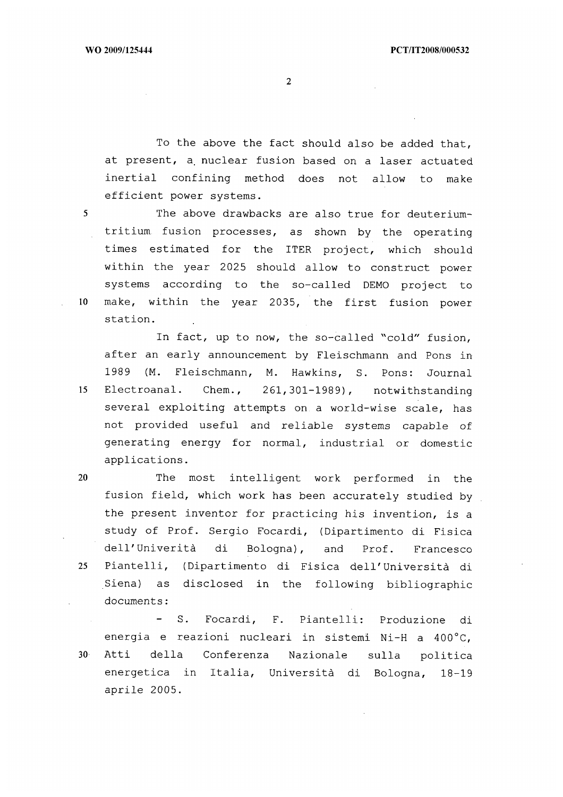To the above the fact should also be added that, at present, a, nuclear fusion based on a laser actuated inertial confining method does not allow to make efficient power systems.

5 The above drawbacks are also true for deuteriumtritium fusion processes, as shown by the operating times estimated for the ITER project, which should within the year 2025 should allow to construct power systems according to the so-called DEMO project to 10 make, within the year 2035, the first fusion power station.

In fact, up to now, the so-called "cold" fusion, after an early announcement by Fleischmann and Pons in 1989 (M. Fleischmann, M. Hawkins, S. Pons: Journal 15 Electroanal. Chem., 261,301-1989), notwithstanding several exploiting attempts on a world-wise scale, has not provided useful and reliable systems capable of generating energy for normal, industrial or domestic applications.

20 The most intelligent work performed in the fusion field, which work has been accurately studied by the present inventor for practicing his invention, is a study of Prof. Sergio Focardi, (Dipartimento di Fisica dell'Univerità di Bologna), and Prof. Francesco 25 Piantelli, (Dipartimento di Fisica dell'Università di Siena) as disclosed in the following bibliographic documents:

- S. Focardi, F. Piantelli: Produzione di energia e reazioni nucleari in sistemi Ni-H a 400°C, <sup>30</sup>Atti della Conferenza Nazionale sulla politica energetica in Italia, Università di Bologna, 18-19 aprile 2005.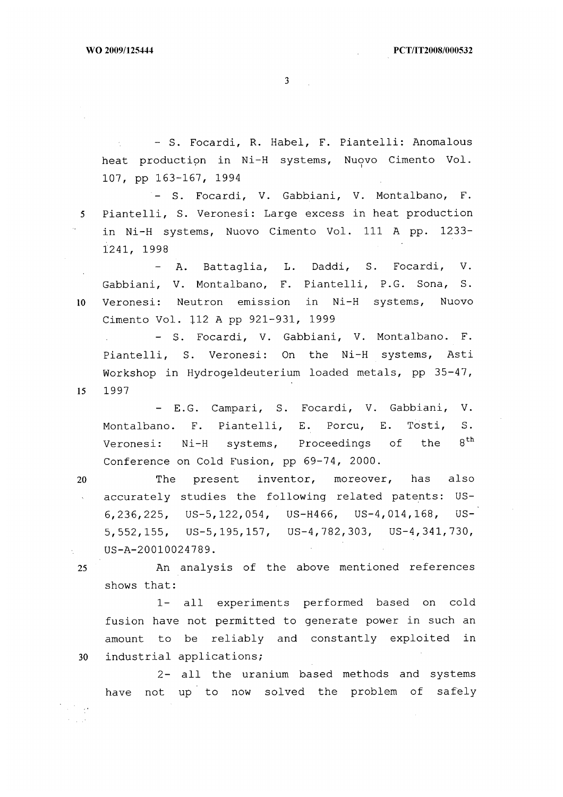- S. Focardi, R. Habel, F. Piantelli: Anomalous heat production in Ni-H systems, Nuovo Cimento Vol. 107, pp 163-167, 1994

- S. Focardi, V. Gabbiani, V. Montalbano, F. 5 Piantelli, S. Veronesi: Large excess in heat production in Ni-H systems, Nuovo Cimento Vol. 111 A pp. 1233- 1241, 1998

- A. Battaglia, L. Daddi, S. Focardi, V. Gabbiani, V. Montalbano, F. Piantelli, P.G. Sona, S. 10 Veronesi: Neutron emission in Ni-H systems, Nuovo Cimento Vol. 112 A pp 921-931, 1999

- S. Focardi, V. Gabbiani, V. Montalbano. F. Piantelli, S. Veronesi: On the Ni-H systems, Asti Workshop in Hydrogeldeuterium loaded metals, pp 35-47, 15 1997

- E.G. Campari, S. Focardi, V. Gabbiani, V. Montalbano. F. Piantelli, E. Porcu, E. Tosti, S. Veronesi:  $Ni-H$  systems, Proceedings of the  $8<sup>th</sup>$ Conference on Cold Fusion, pp 69-74, 2000.

20 The present inventor, moreover, has also accurately studies the following related patents: US- $\Delta \sim$ 6,236,225, US-5,122,054, US-H466, US-4,014,168, US-5,552,155, US-5,195,157, US-4,782,303, US-4,341,730, US-A-20010024789.

25 An analysis of the above mentioned references shows that:

1- all experiments performed based on cold fusion have not permitted to generate power in such an amount to be reliably and constantly exploited in 30 industrial applications;

2- all the uranium based methods and systems have not up to now solved the problem of safely

 $\mathcal{L}^{\text{max}}_{\text{max}}$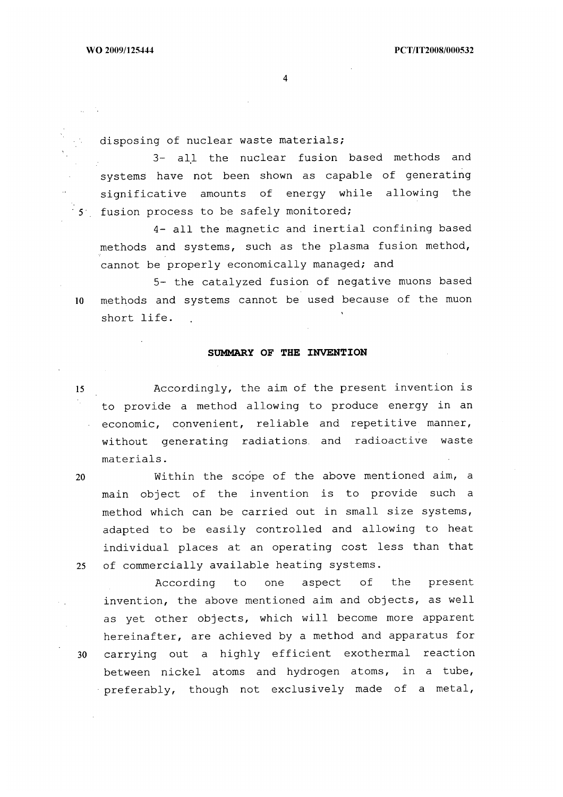$\Delta \sim 0.5$ 

4

disposing of nuclear waste materials;

3- all the nuclear fusion based methods and systems have not been shown as capable of generating significative amounts of energy while allowing the 5 fusion process to be safely monitored;

4- all the magnetic and inertial confining based methods and systems, such as the plasma fusion method, cannot be properly economically managed; and

5- the catalyzed fusion of negative muons based 10 methods and systems cannot be used because of the muon short life.

## **SUMMARY OF THE INVENTION**

<sup>15</sup>Accordingly, the aim of the present invention is to provide a method allowing to produce energy in an economic, convenient, reliable and repetitive manner, without generating radiations and radioactive waste materials.

20 Within the scope of the above mentioned aim, a main object of the invention is to provide such a method which can be carried out in small size systems, adapted to be easily controlled and allowing to heat individual places at an operating cost less than that 25 of commercially available heating systems.

According to one aspect of the present invention, the above mentioned aim and objects, as well as yet other objects, which will become more apparent hereinafter, are achieved by a method and apparatus for 30 carrying out a highly efficient exothermal reaction between nickel atoms and hydrogen atoms, in a tube, preferably, though not exclusively made of a metal,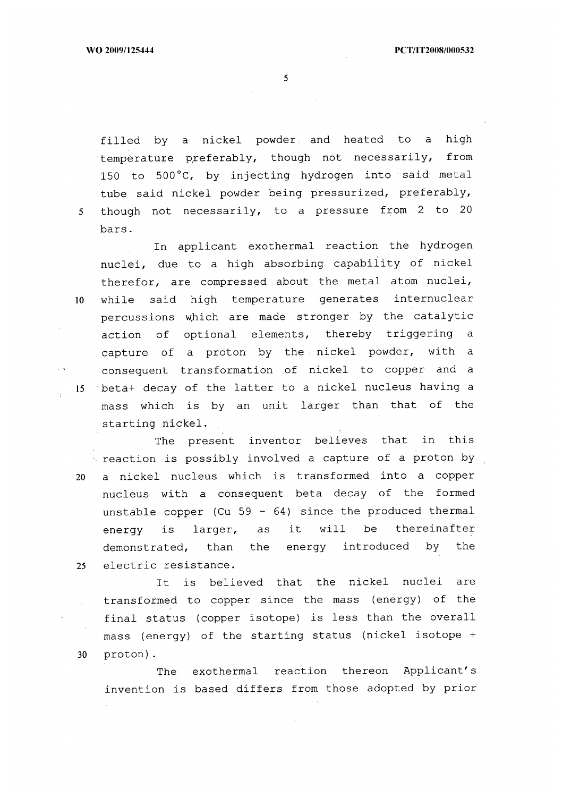filled by a nickel powder and heated to a high temperature preferably, though not necessarily, from 150 to 500°C, by injecting hydrogen into said metal tube said nickel powder being pressurized, preferably, 5 though not necessarily, to a pressure from 2 to 20 bars.

In applicant exothermal reaction the hydrogen nuclei, due to a high absorbing capability of nickel therefor, are compressed about the metal atom nuclei, 10 while said high temperature generates internuclear percussions which are made stronger by the catalytic action of optional elements, thereby triggering a capture of a proton by the nickel powder, with a consequent transformation of nickel to copper and a 15 beta+ decay of the latter to a nickel nucleus having a mass which is by an unit larger than that of the starting nickel.

The present inventor believes that in this  $\sim$  reaction is possibly involved a capture of a proton by 20 a nickel nucleus which is transformed into a copper nucleus with a consequent beta decay of the formed unstable copper (Cu 59 - 64) since the produced thermal energy is larger, as it will be thereinafter demonstrated, than the energy introduced by the 25 electric resistance.

It is believed that the nickel nuclei are transformed to copper since the mass (energy) of the final status (copper isotope) is less than the overall mass (energy) of the starting status (nickel isotope + 30 proton).

The exothermal reaction thereon Applicant's invention is based differs from those adopted by prior

 $\sim$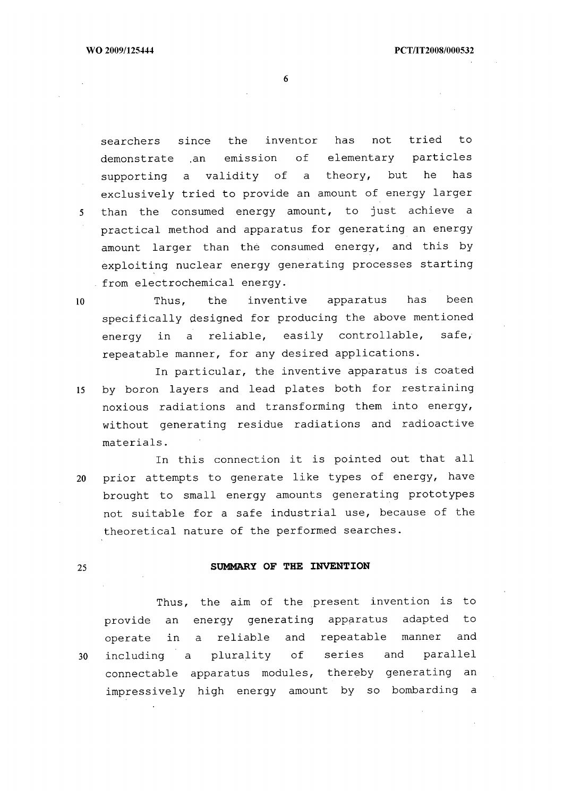searchers since the inventor has not tried to demonstrate .an emission of elementary particles supporting a validity of a theory, but he has exclusively tried to provide an amount of energy larger 5 than the consumed energy amount, to just achieve a practical method and apparatus for generating an energy amount larger than the consumed energy, and this by exploiting nuclear energy generating processes starting from electrochemical energy.

10 Thus, the inventive apparatus has been specifically designed for producing the above mentioned energy in a reliable, easily controllable, safe, repeatable manner, for any desired applications.

In particular, the inventive apparatus is coated 15 by boron layers and lead plates both for restraining noxious radiations and transforming them into energy, without generating residue radiations and radioactive materials.

In this connection it is pointed out that all 20 prior attempts to generate like types of energy, have brought to small energy amounts generating prototypes not suitable for a safe industrial use, because of the theoretical nature of the performed searches.

## 25 SUMMARY OF THE INVENTION

Thus, the aim of the present invention is to provide an energy generating apparatus adapted to operate in a reliable and repeatable manner and 30 including a plurality of series and parallel connectable apparatus modules, thereby generating an impressively high energy amount by so bombarding a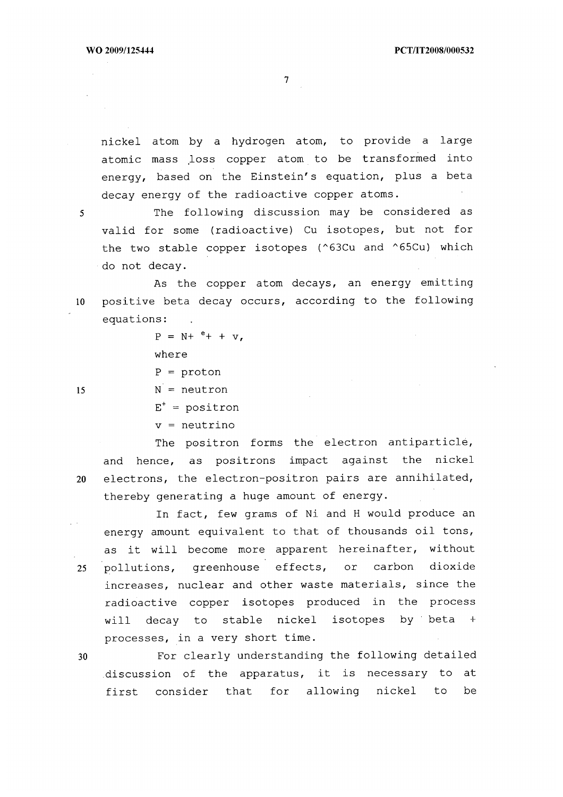nickel atom by a hydrogen atom, to provide a large atomic mass loss copper atom to be transformed into energy, based on the Einstein's equation, plus a beta decay energy of the radioactive copper atoms.

5 The following discussion may be considered as valid for some (radioactive) Cu isotopes, but not for the two stable copper isotopes (^63Cu and ^65Cu) which do not decay.

As the copper atom decays, an energy emitting 10 positive beta decay occurs, according to the following equations:

> $P = N + e + + v$ , where

 $P =$  proton

 $15$   $N =$  neutron

 $E^+$  = positron

v = neutrino

The positron forms the electron antiparticle, and hence, as positrons impact against the nickel 20 electrons, the electron-positron pairs are annihilated, thereby generating a huge amount of energy.

 $\mathcal{L}(\mathcal{A})$ 

energy amount equivalent to that of thousands oil tons, as it will become more apparent hereinafter, without 25 pollutions, greenhouse effects, or carbon dioxide increases, nuclear and other waste materials, since the radioactive copper isotopes produced in the process will decay to stable nickel isotopes by beta + processes, in a very short time.

In fact, few grams of Ni and H would produce an

30 For clearly understanding the following detailed discussion of the apparatus, it is necessary to at first consider that for allowing nickel to be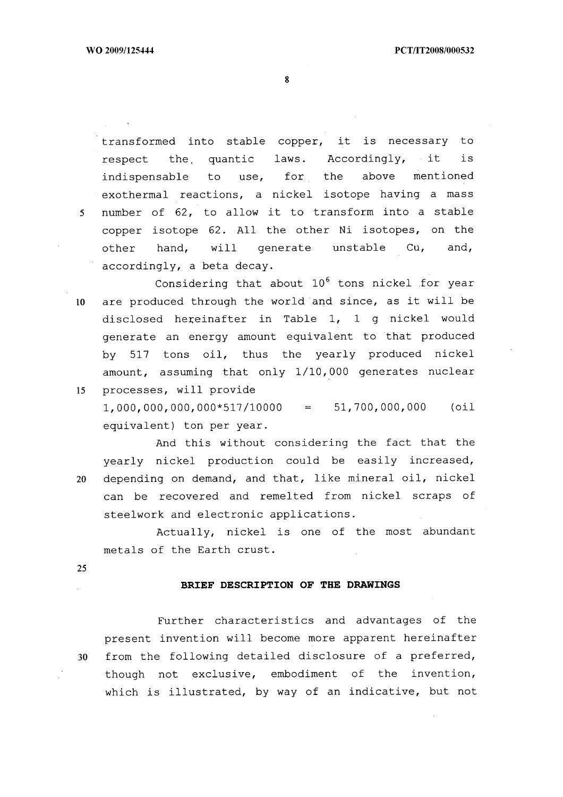transformed into stable copper, it is necessary to respect the quantic laws. Accordingly, it is indispensable to use, for the above mentioned exothermal reactions, a nickel isotope having a mass 5 number of 62, to allow it to transform into a stable copper isotope 62. All the other Ni isotopes, on the other hand, will generate unstable Cu, and, accordingly, a beta decay.

Considering that about  $10^6$  tons nickel for year 10 are produced through the world and since, as it will be disclosed hereinafter in Table 1, 1 g nickel would generate an energy amount equivalent to that produced by 517 tons oil, thus the yearly produced nickel amount, assuming that only 1/10,000 generates nuclear 15 processes, will provide

 $1,000,000,000,000*517/10000 = 51,700,000,000$  (oil equivalent) ton per year.

And this without considering the fact that the yearly nickel production could be easily increased, 20 depending on demand, and that, like mineral oil, nickel can be recovered and remelted from nickel scraps of steelwork and electronic applications.

Actually, nickel is one of the most abundant metals of the Earth crust.

25

## **BRIEF DESCRIPTION OF THE DRAWINGS**

Further characteristics and advantages of the present invention will become more apparent hereinafter 30 from the following detailed disclosure of a preferred, though not exclusive, embodiment of the invention, which is illustrated, by way of an indicative, but not

8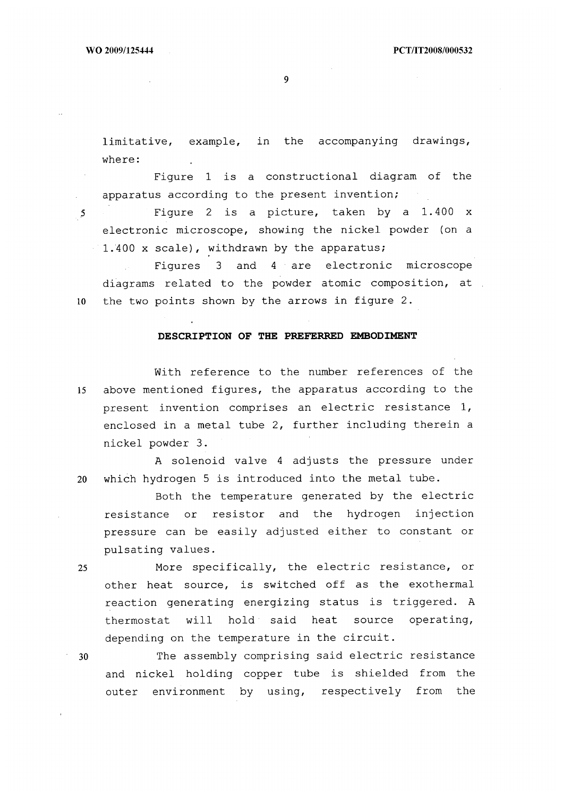$\mathcal{L}^{\text{max}}$ 

9

limitative, example, in the accompanying drawings, where:

Figure 1 is a constructional diagram of the apparatus according to the present invention;

5 Figure 2 is a picture, taken by a 1.400 x electronic microscope, showing the nickel powder (on a 1.400 x scale), withdrawn by the apparatus;

Figures 3 and 4 are electronic microscope diagrams related to the powder atomic composition, at 10 the two points shown by the arrows in figure 2.

#### **DESCRIPTION OF THE PREFERRED EMBODIMENT**

With reference to the number references of the 15 above mentioned figures, the apparatus according to the present invention comprises an electric resistance 1, enclosed in a metal tube 2, further including therein a nickel powder 3.

A solenoid valve 4 adjusts the pressure under 20 which hydrogen 5 is introduced into the metal tube.

Both the temperature generated by the electric resistance or resistor and the hydrogen injection pressure can be easily adjusted either to constant or pulsating values.

<sup>25</sup>More specifically, the electric resistance, or other heat source, is switched off as the exothermal reaction generating energizing status is triggered. A thermostat will hold said heat source operating, depending on the temperature in the circuit.

30 The assembly comprising said electric resistance and nickel holding copper tube is shielded from the outer environment by using, respectively from the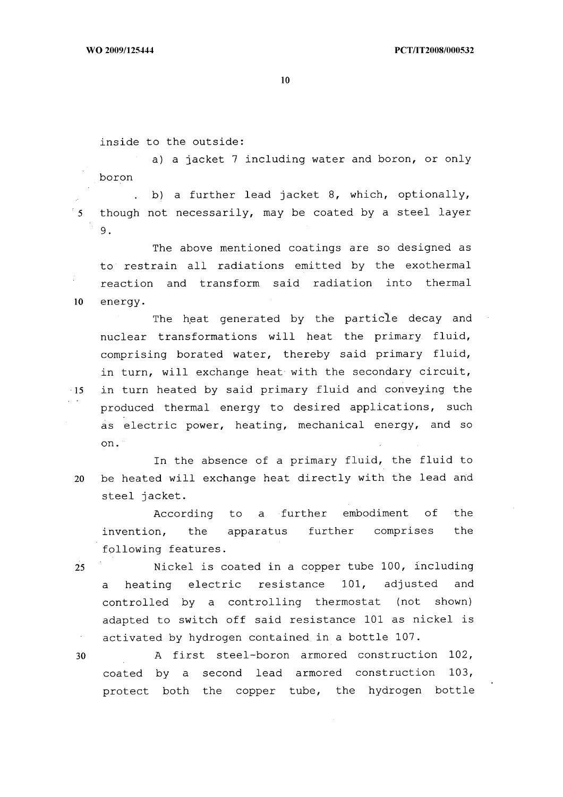inside to the outside:

a) a jacket 7 including water and boron, or only boron

b) a further lead jacket 8, which, optionally,  $\overline{\phantom{a}}$  5 though not necessarily, may be coated by a steel layer 9.

The above mentioned coatings are so designed as to restrain all radiations emitted by the exothermal reaction and transform said radiation into thermal 10 energy.

The heat generated by the particle decay and nuclear transformations will heat the primary fluid, comprising borated water, thereby said primary fluid, in turn, will exchange heat with the secondary circuit, 15 in turn heated by said primary fluid and conveying the produced thermal energy to desired applications, such as electric power, heating, mechanical energy, and so on.

In the absence of a primary fluid, the fluid to 20 be heated will exchange heat directly with the lead and steel jacket.

According to a further embodiment of the invention, the apparatus further comprises the following features.

25 Nickel is coated in a copper tube 100, including a heating electric resistance 101, adjusted and controlled by a controlling thermostat (not shown) adapted to switch off said resistance 101 as nickel is activated by hydrogen contained in a bottle 107.

30 A first steel-boron armored construction 102, coated by a second lead armored construction 103, protect both the copper tube, the hydrogen bottle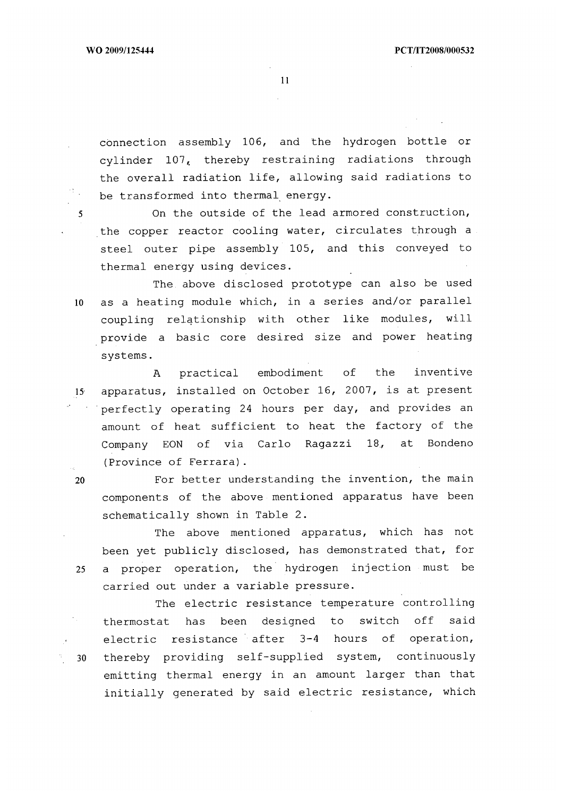connection assembly 106, and the hydrogen bottle or cylinder 107, thereby restraining radiations through the overall radiation life, allowing said radiations to be transformed into thermal energy.

5 On the outside of the lead armored construction, the copper reactor cooling water, circulates through a steel outer pipe assembly 105, and this conveyed to thermal energy using devices.

The above disclosed prototype can also be used 10 as a heating module which, in a series and/or parallel coupling relationship with other like modules, will provide a basic core desired size and power heating systems.

A practical embodiment of the inventive 15 apparatus, installed on October 16, 2007, is at present perfectly operating 24 hours per day, and provides an amount of heat sufficient to heat the factory of the Company EON of via Carlo Ragazzi 18, at Bondeno (Province of Ferrara).

20 For better understanding the invention, the main components of the above mentioned apparatus have been schematically shown in Table 2.

The above mentioned apparatus, which has not been yet publicly disclosed, has demonstrated that, for 25 a proper operation, the hydrogen injection must be carried out under a variable pressure.

The electric resistance temperature controlling thermostat has been designed to switch off said electric resistance after 3-4 hours of operation, . 30 thereby providing self-supplied system, continuously emitting thermal energy in an amount larger than that initially generated by said electric resistance, which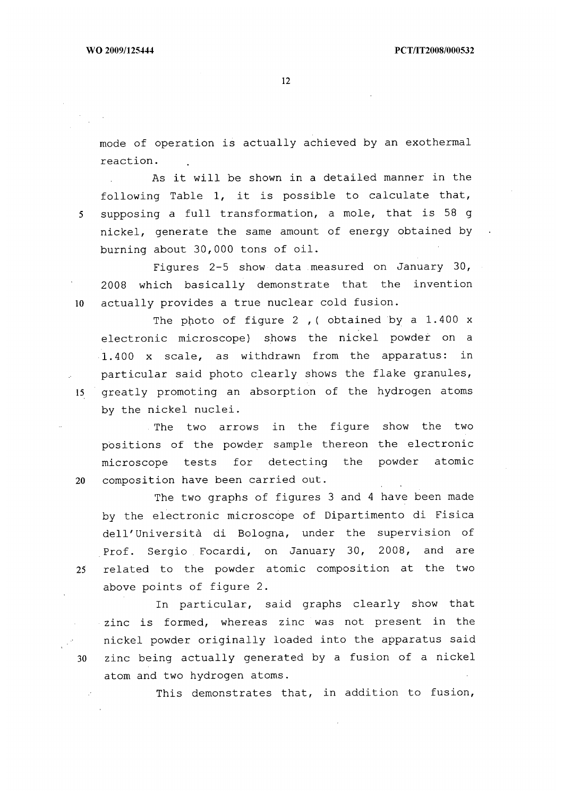mode of operation is actually achieved by an exothermal reaction.

As it will be shown in a detailed manner in the following Table 1, it is possible to calculate that, 5 supposing a full transformation, a mole, that is 58 g nickel, generate the same amount of energy obtained by burning about 30,000 tons of oil.

Figures 2-5 show data measured on January 30, 2008 which basically demonstrate that the invention 10 actually provides a true nuclear cold fusion.

The photo of figure 2, ( obtained by a 1.400 x electronic microscope) shows the nickel powder on a 1.400 x scale, as withdrawn from the apparatus: in particular said photo clearly shows the flake granules, 15 greatly promoting an absorption of the hydrogen atoms by the nickel nuclei.

The two arrows in the figure show the two positions of the powder sample thereon the electronic microscope tests for detecting the powder atomic 20 composition have been carried out.

The two graphs of figures 3 and 4 have been made by the electronic microscope of Dipartimento di Fisica dell'Universitd di Bologna, under the supervision of Prof. Sergio Focardi, on January 30, 2008, and are 25 related to the powder atomic composition at the two above points of figure 2.

In particular, said graphs clearly show that zinc is formed, whereas zinc was not present in the nickel powder originally loaded into the apparatus said 30 zinc being actually generated by a fusion of a nickel atom and two hydrogen atoms.

This demonstrates that, in addition to fusion,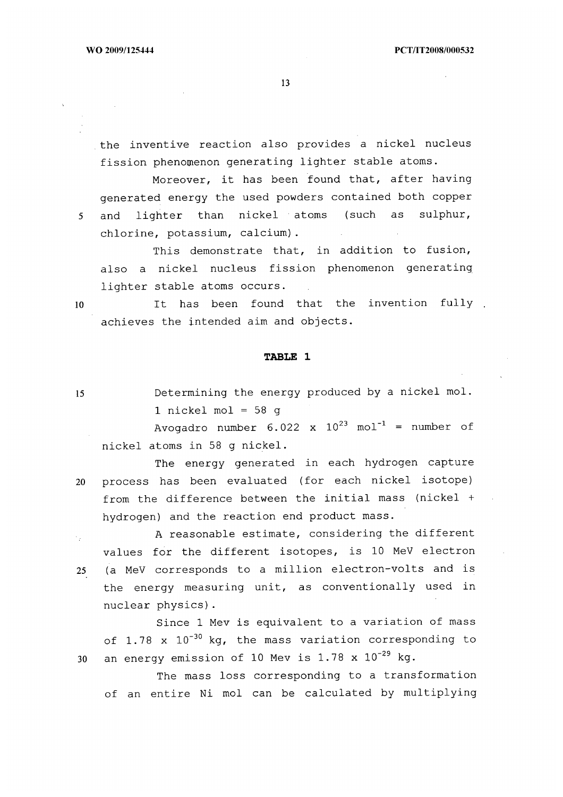the inventive reaction also provides a nickel nucleus fission phenomenon generating lighter stable atoms.

Moreover, it has been found that, after having generated energy the used powders contained both copper 5 and lighter than nickel atoms (such as sulphur, chlorine, potassium, calcium).

This demonstrate that, in addition to fusion, also a nickel nucleus fission phenomenon generating lighter stable atoms occurs.

10 It has been found that the invention fully . achieves the intended aim and objects.

## **TABLE 1**

15 Determining the energy produced by a nickel mol. 1 nickel mol =  $58q$ 

Avogadro number  $6.022 \times 10^{23} \text{ mol}^{-1}$  = number of nickel atoms in 58 g nickel.

The energy generated in each hydrogen capture 20 process has been evaluated (for each nickel isotope) from the difference between the initial mass (nickel + hydrogen) and the reaction end product mass.

A reasonable estimate, considering the different Λy. values for the different isotopes, is 10 MeV electron 25. (a MeV corresponds to a million electron-volts and is the energy measuring unit, as conventionally used in nuclear physics).

Since 1 Mev is equivalent to a variation of mass of 1.78 x  $10^{-30}$  kg, the mass variation corresponding to 30 an energy emission of 10 Mev is  $1.78 \times 10^{-29}$  kg.

The mass loss corresponding to a transformation of an entire Ni mol can be calculated by multiplying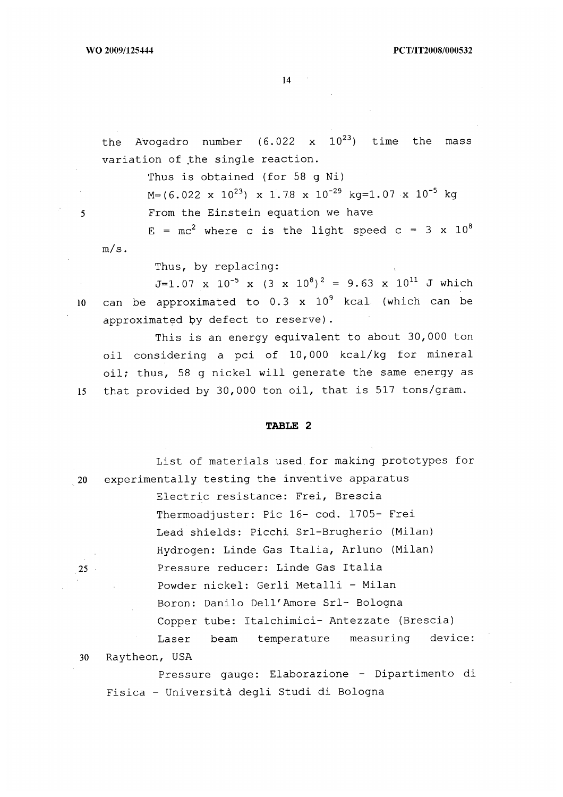the Avogadro number  $(6.022 \times 10^{23})$  time the mass variation of the single reaction.

Thus is obtained (for 58 g Ni)

 $M=(6.022 \times 10^{23}) \times 1.78 \times 10^{-29} \text{ kg}=1.07 \times 10^{-5} \text{ kg}$ 

5 From the Einstein equation we have

 $E = mc^2$  where c is the light speed c = 3 x 10<sup>8</sup> m/s.

Thus, by replacing:

 $J=1.07 \times 10^{-5} \times (3 \times 10^{8})^{2} = 9.63 \times 10^{11}$  J which 10 can be approximated to  $0.3 \times 10^9$  kcal (which can be approximated by defect to reserve).

This is an energy equivalent to about 30,000 ton oil considering a pci of 10,000 kcal/kg for mineral oil; thus, 58 g nickel will generate the same energy as 15 that provided by 30,000 ton oil, that is 517 tons/gram.

## **TABLE 2**

|        | List of materials used for making prototypes for |
|--------|--------------------------------------------------|
| 20     | experimentally testing the inventive apparatus   |
|        | Electric resistance: Frei, Brescia               |
|        | Thermoadjuster: Pic 16- cod. 1705- Frei          |
|        | Lead shields: Picchi Srl-Brugherio (Milan)       |
|        | Hydrogen: Linde Gas Italia, Arluno (Milan)       |
| $25 -$ | Pressure reducer: Linde Gas Italia               |
|        | Powder nickel: Gerli Metalli - Milan             |
|        | Boron: Danilo Dell'Amore Srl- Bologna            |
|        | Copper tube: Italchimici- Antezzate (Brescia)    |
|        | Laser beam temperature measuring device:         |
| 30     | Raytheon, USA                                    |
|        | Pressure gauge: Elaborazione - Dipartimento di   |

Fisica - Università degli Studi di Bologna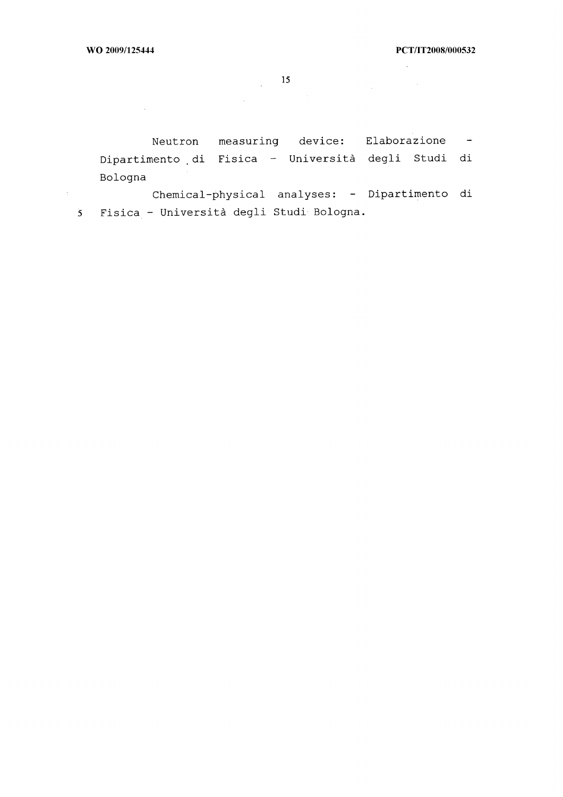$\mathcal{L}^{\text{max}}_{\text{max}}$ 

 $\sim 10^{-1}$ 

 $\label{eq:2.1} \frac{1}{\sqrt{2\pi}}\int_{\mathbb{R}^3}\frac{1}{\sqrt{2\pi}}\left(\frac{1}{\sqrt{2\pi}}\right)^2\frac{dx}{\sqrt{2\pi}}\,dx.$ 

 $15$ 

 $\mathcal{L}^{\text{max}}_{\text{max}}$ 

Neutron measuring device: Elaborazione Dipartimento di Fisica - Università degli Studi di Bologna

Chemical-physical analyses: - Dipartimento di  $\pm$   $\pm$ 5 Fisica - Università degli Studi Bologna.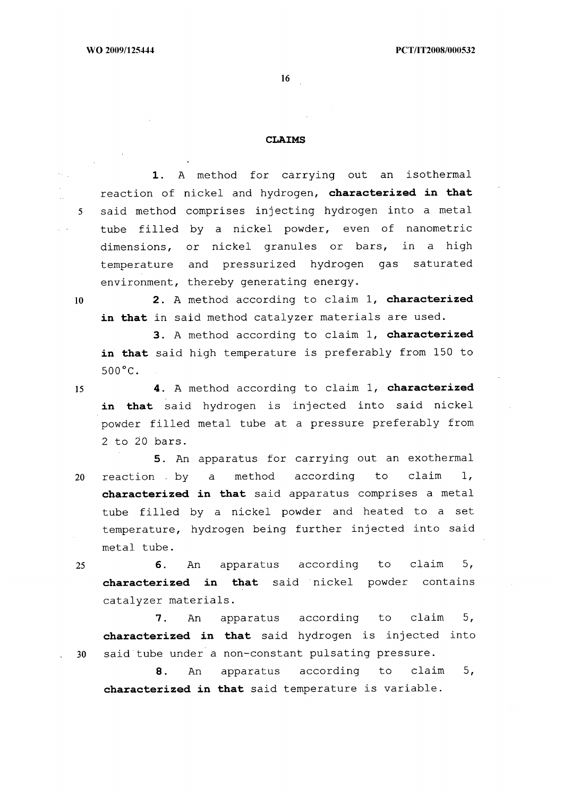#### **CLAIMS**

**I.** A method for carrying out an isothermal reaction of nickel and hydrogen, **characterized in that**  5 said method comprises injecting hydrogen into a metal tube filled by a nickel powder, even of nanometric dimensions, or nickel granules or bars, in a high temperature and pressurized hydrogen gas saturated environment, thereby generating energy.

<sup>10</sup>**2.** A method according to claim 1, **characterized in that** in said method catalyzer materials are used.

**3.** A method according to claim 1, **characterized in that** said high temperature is preferably from 150 to  $500^{\circ}$ C.

<sup>15</sup>**4.** A method according to claim 1, **characterized in that** said hydrogen is injected into said nickel powder filled metal tube at a pressure preferably from 2 to 20 bars.

**5.** An apparatus for carrying out an exothermal 20 reaction by a method according to claim 1, **characterized in that** said apparatus comprises a metal tube filled by a nickel powder and heated to a set temperature, hydrogen being further injected into said metal tube.

<sup>25</sup>**6.** An apparatus according to claim 5, **characterized in that** said nickel powder contains catalyzer materials.

7. An apparatus according to claim 5, **characterized in that** said hydrogen is injected into 30 said tube under a non-constant pulsating pressure.

8. An apparatus according to claim 5, **characterized in that** said temperature is variable.

 $\sqrt{1-\lambda}$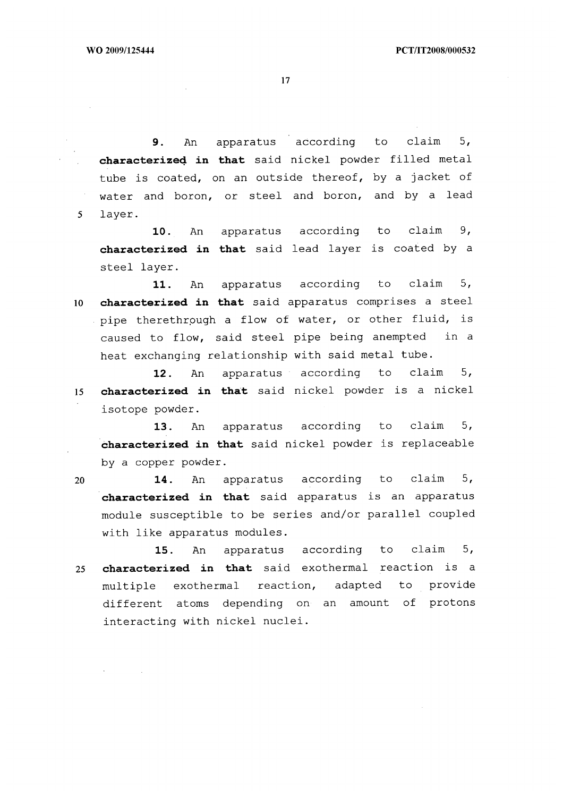9. An apparatus according to claim 5, **characterized in that** said nickel powder filled metal tube is coated, on an outside thereof, by a jacket of water and boron, or steel and boron, and by a lead 5 layer.

10. An apparatus according to claim 9, **characterized in that** said lead layer is coated by a steel layer.

11. An apparatus according to claim 5, <sup>10</sup>**characterized in that** said apparatus comprises a steel pipe therethrough a flow of water, or other fluid, is caused to flow, said steel pipe being anempted in a heat exchanging relationship with said metal tube.

12. An apparatus according to claim 5, <sup>15</sup>**characterized in that** said nickel powder is a nickel isotope powder.

13. An apparatus according to claim 5, **characterized in that** said nickel powder is replaceable by a copper powder.

<sup>20</sup>**14.** An apparatus according to claim 5, **characterized in that** said apparatus is an apparatus module susceptible to be series and/or parallel coupled with like apparatus modules.

**15.** An apparatus according to claim 5, <sup>25</sup>**characterized in that** said exothermal reaction is a multiple exothermal reaction, adapted to provide different atoms depending on an amount of protons interacting with nickel nuclei.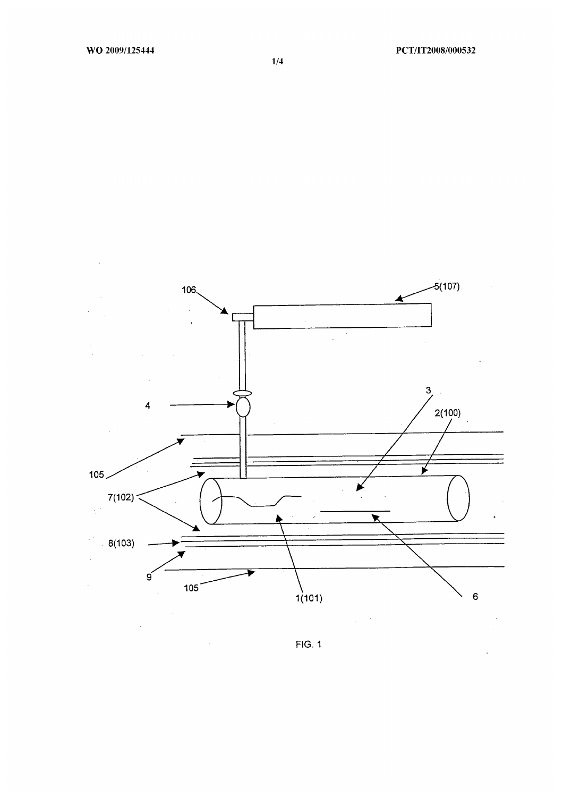

1/4

FIG. 1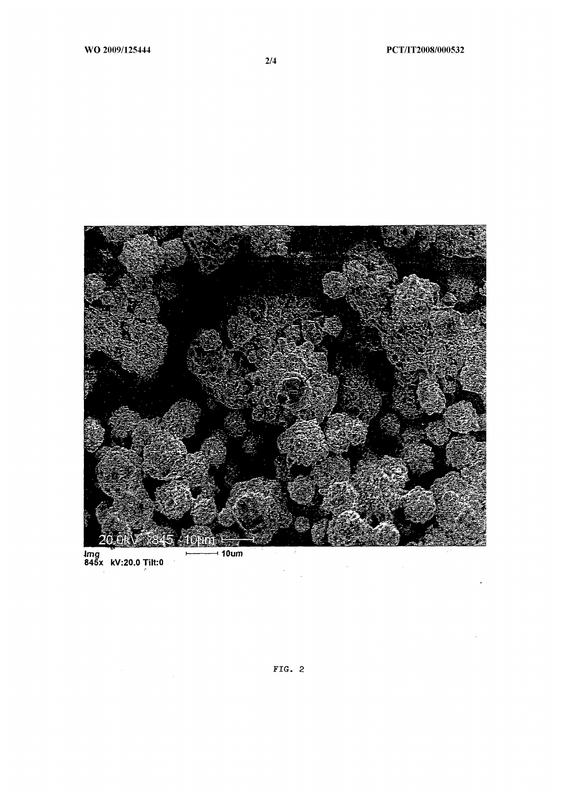

lmg<br>845x kV:20.0 Tilt:0  $-10$ um f.

 $\hat{\mathcal{A}}$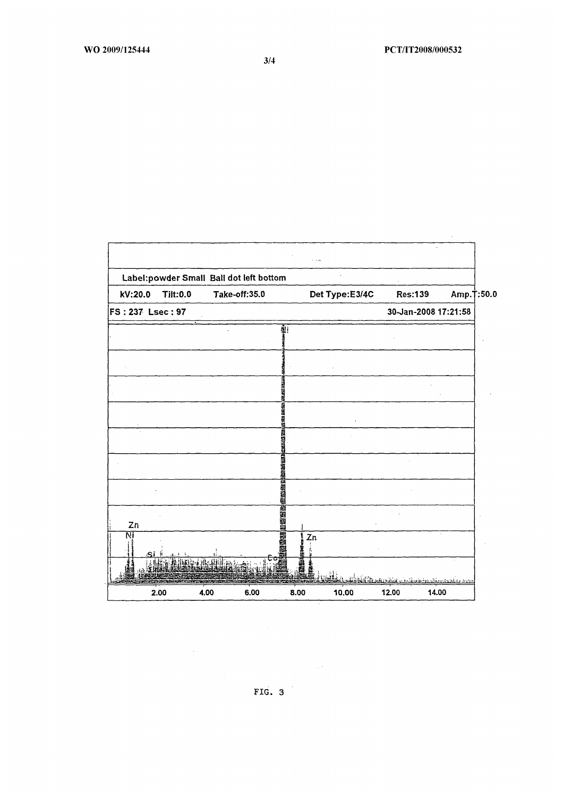

FIG. 3

 $\sim$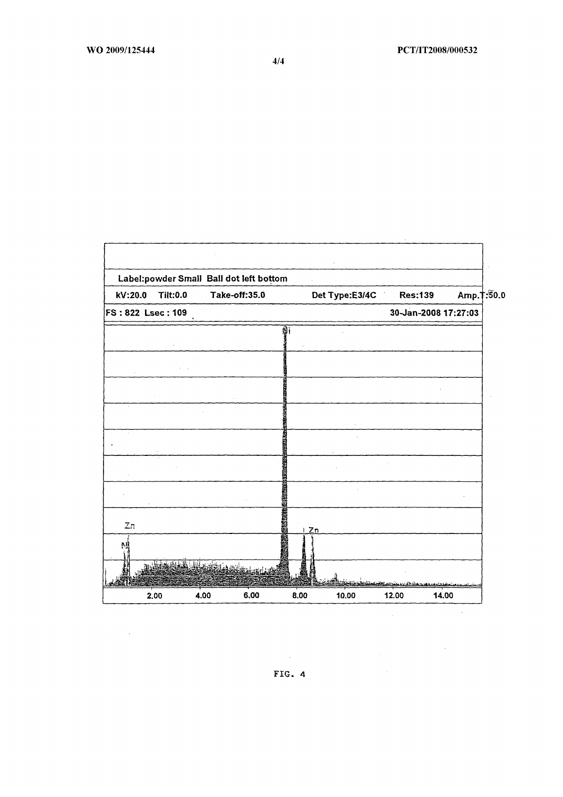|                   | Label:powder Small Ball dot left bottom |                               |               |               |                |                                                    |                      |             |
|-------------------|-----------------------------------------|-------------------------------|---------------|---------------|----------------|----------------------------------------------------|----------------------|-------------|
| kV:20.0           | <b>Tilt:0.0</b>                         |                               | Take-off:35.0 |               | Det Type:E3/4C | <b>Res:139</b>                                     |                      | Amp. 1:50.0 |
| FS: 822 Lsec: 109 |                                         |                               |               |               |                |                                                    | 30-Jan-2008 17:27:03 |             |
|                   |                                         |                               |               | ğ.            |                |                                                    |                      |             |
|                   |                                         |                               |               |               |                |                                                    |                      |             |
|                   |                                         |                               |               |               |                |                                                    |                      |             |
|                   |                                         |                               |               |               |                |                                                    |                      |             |
|                   |                                         |                               |               |               |                |                                                    |                      |             |
|                   |                                         |                               |               |               |                |                                                    |                      |             |
|                   |                                         |                               |               |               |                |                                                    |                      |             |
|                   |                                         |                               |               | <b>SVEHAS</b> |                |                                                    |                      |             |
|                   |                                         |                               |               |               |                |                                                    |                      |             |
|                   |                                         |                               |               |               |                |                                                    |                      |             |
|                   |                                         |                               |               |               |                |                                                    |                      |             |
|                   |                                         |                               |               | <b>MILLER</b> |                |                                                    |                      |             |
| $Z_{\ell^2}$      |                                         |                               |               |               |                |                                                    |                      |             |
|                   |                                         |                               |               | i Zn          |                |                                                    |                      |             |
| Ņ                 |                                         |                               |               |               |                |                                                    |                      |             |
|                   | فالمنطقة                                | <b>The Secret All Address</b> |               |               |                |                                                    |                      |             |
|                   |                                         |                               |               |               |                | <u> 1944 - Singh Milandish ang pangangan sa sa</u> |                      |             |
|                   | 2.00                                    | 4.00                          | 6,00          | 8.00          | 10.00          | 12.00                                              | 14.00                |             |

 $\label{eq:2.1} \frac{1}{\sqrt{2\pi}}\int_{0}^{\infty}\frac{1}{\sqrt{2\pi}}\left(\frac{1}{\sqrt{2\pi}}\right)^{2}d\mu\,d\mu\,d\mu\,d\mu\,.$ 

4/4

 $\sim 10^{-1}$ FIG. 4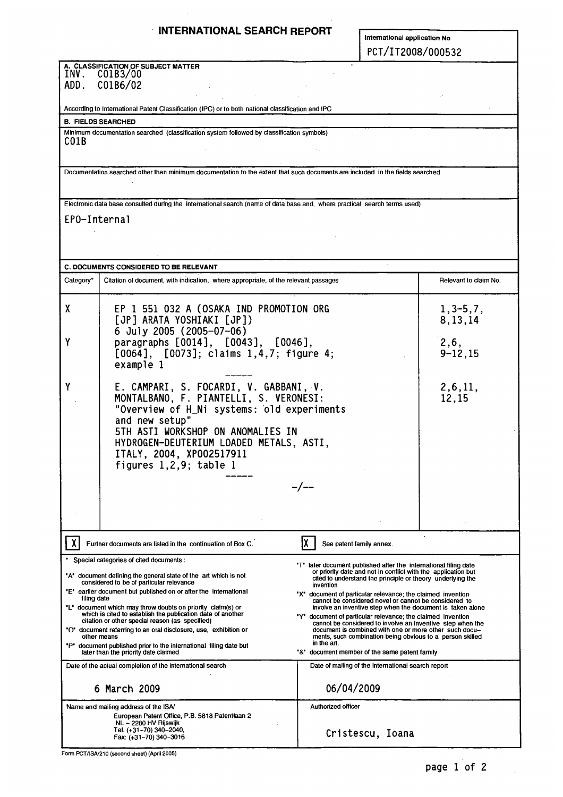## **INTERNATIONAL SEARCH REPORT**

**International application No**  PCT/IT2008/000532

| INV.<br>ADD. | A. CLASSIFICATION OF SUBJECT MATTER<br>C01B3/00<br>C01B6/02                                                                                                                                                                                                                                                                                                                                                                                                                                                                                                         |                                                                                                                                                                                                                                                                                                                                                                                                                                                                                                                                                                                                                                                                       |                                                    |  |  |  |
|--------------|---------------------------------------------------------------------------------------------------------------------------------------------------------------------------------------------------------------------------------------------------------------------------------------------------------------------------------------------------------------------------------------------------------------------------------------------------------------------------------------------------------------------------------------------------------------------|-----------------------------------------------------------------------------------------------------------------------------------------------------------------------------------------------------------------------------------------------------------------------------------------------------------------------------------------------------------------------------------------------------------------------------------------------------------------------------------------------------------------------------------------------------------------------------------------------------------------------------------------------------------------------|----------------------------------------------------|--|--|--|
|              | According to International Patent Classification (IPC) or to both national classification and IPC                                                                                                                                                                                                                                                                                                                                                                                                                                                                   |                                                                                                                                                                                                                                                                                                                                                                                                                                                                                                                                                                                                                                                                       |                                                    |  |  |  |
|              | <b>B. FIELDS SEARCHED</b>                                                                                                                                                                                                                                                                                                                                                                                                                                                                                                                                           |                                                                                                                                                                                                                                                                                                                                                                                                                                                                                                                                                                                                                                                                       |                                                    |  |  |  |
|              | Minimum documentation searched (classification system followed by classification symbols)                                                                                                                                                                                                                                                                                                                                                                                                                                                                           |                                                                                                                                                                                                                                                                                                                                                                                                                                                                                                                                                                                                                                                                       |                                                    |  |  |  |
| CO1B         |                                                                                                                                                                                                                                                                                                                                                                                                                                                                                                                                                                     |                                                                                                                                                                                                                                                                                                                                                                                                                                                                                                                                                                                                                                                                       |                                                    |  |  |  |
|              | Documentation searched other than minimum documentation to the extent that such documents are included in the fields searched                                                                                                                                                                                                                                                                                                                                                                                                                                       |                                                                                                                                                                                                                                                                                                                                                                                                                                                                                                                                                                                                                                                                       |                                                    |  |  |  |
|              | Electronic data base consulted during the international search (name of data base and, where practical, search terms used)                                                                                                                                                                                                                                                                                                                                                                                                                                          |                                                                                                                                                                                                                                                                                                                                                                                                                                                                                                                                                                                                                                                                       |                                                    |  |  |  |
| EPO-Internal |                                                                                                                                                                                                                                                                                                                                                                                                                                                                                                                                                                     |                                                                                                                                                                                                                                                                                                                                                                                                                                                                                                                                                                                                                                                                       |                                                    |  |  |  |
|              | <b>C. DOCUMENTS CONSIDERED TO BE RELEVANT</b>                                                                                                                                                                                                                                                                                                                                                                                                                                                                                                                       |                                                                                                                                                                                                                                                                                                                                                                                                                                                                                                                                                                                                                                                                       |                                                    |  |  |  |
| Category*    | Citation of document, with indication, where appropriate, of the relevant passages                                                                                                                                                                                                                                                                                                                                                                                                                                                                                  |                                                                                                                                                                                                                                                                                                                                                                                                                                                                                                                                                                                                                                                                       | Relevant to claim No.                              |  |  |  |
|              |                                                                                                                                                                                                                                                                                                                                                                                                                                                                                                                                                                     |                                                                                                                                                                                                                                                                                                                                                                                                                                                                                                                                                                                                                                                                       |                                                    |  |  |  |
| X            | EP 1 551 032 A (OSAKA IND PROMOTION ORG<br>[JP] ARATA YOSHIAKI [JP])<br>6 July 2005 (2005-07-06)                                                                                                                                                                                                                                                                                                                                                                                                                                                                    |                                                                                                                                                                                                                                                                                                                                                                                                                                                                                                                                                                                                                                                                       | $1, 3-5, 7,$<br>8, 13, 14                          |  |  |  |
| Y            | paragraphs [0014], [0043], [0046],<br>[0064], [0073]; claims 1,4,7; figure 4;<br>example 1                                                                                                                                                                                                                                                                                                                                                                                                                                                                          |                                                                                                                                                                                                                                                                                                                                                                                                                                                                                                                                                                                                                                                                       | 2, 6,<br>$9 - 12, 15$                              |  |  |  |
|              | E. CAMPARI, S. FOCARDI, V. GABBANI, V.<br>MONTALBANO, F. PIANTELLI, S. VERONESI:<br>"Overview of H_Ni systems: old experiments<br>and new setup"<br>5TH ASTI WORKSHOP ON ANOMALIES IN<br>HYDROGEN-DEUTERIUM LOADED METALS, ASTI,<br>ITALY, 2004, XP002517911<br>figures $1, 2, 9$ ; table 1                                                                                                                                                                                                                                                                         |                                                                                                                                                                                                                                                                                                                                                                                                                                                                                                                                                                                                                                                                       | 2, 6, 11,<br>12,15                                 |  |  |  |
|              |                                                                                                                                                                                                                                                                                                                                                                                                                                                                                                                                                                     |                                                                                                                                                                                                                                                                                                                                                                                                                                                                                                                                                                                                                                                                       |                                                    |  |  |  |
|              | Further documents are listed in the continuation of Box C.                                                                                                                                                                                                                                                                                                                                                                                                                                                                                                          | See patent family annex.                                                                                                                                                                                                                                                                                                                                                                                                                                                                                                                                                                                                                                              |                                                    |  |  |  |
| filing date  | Special categories of cited documents :<br>"A" document defining the general state of the art which is not<br>considered to be of particular relevance<br>"E" earlier document but published on or after the international<br>"L" document which may throw doubts on priority claim(s) or<br>which is cited to establish the publication date of another<br>citation or other special reason (as specified)<br>"O" document referring to an oral disclosure, use, exhibition or<br>other means<br>"P" document published prior to the international filing date but | "T" later document published after the international filing date<br>or priority date and not in conflict with the application but<br>cited to understand the principle or theory underlying the<br>invention<br>"X" document of particular relevance; the claimed invention<br>cannot be considered novel or cannot be considered to<br>involve an inventive step when the document is taken alone<br>"Y" document of particular relevance; the claimed invention<br>cannot be considered to involve an inventive step when the<br>document is combined with one or more other such docu-<br>ments, such combination being obvious to a person skilled<br>in the art. |                                                    |  |  |  |
|              | later than the priority date claimed                                                                                                                                                                                                                                                                                                                                                                                                                                                                                                                                |                                                                                                                                                                                                                                                                                                                                                                                                                                                                                                                                                                                                                                                                       | "&" document member of the same patent family      |  |  |  |
|              | Date of the actual completion of the international search<br>6 March 2009                                                                                                                                                                                                                                                                                                                                                                                                                                                                                           | 06/04/2009                                                                                                                                                                                                                                                                                                                                                                                                                                                                                                                                                                                                                                                            | Date of mailing of the international search report |  |  |  |
|              | Name and mailing address of the ISA/                                                                                                                                                                                                                                                                                                                                                                                                                                                                                                                                | Authorized officer                                                                                                                                                                                                                                                                                                                                                                                                                                                                                                                                                                                                                                                    |                                                    |  |  |  |
|              | European Patent Office, P.B. 5818 Patentiaan 2<br>NL - 2280 HV Rijswijk<br>Tel. (+31-70) 340-2040,<br>Fax: (+31-70) 340-3016                                                                                                                                                                                                                                                                                                                                                                                                                                        |                                                                                                                                                                                                                                                                                                                                                                                                                                                                                                                                                                                                                                                                       | Cristescu, Ioana                                   |  |  |  |

Form PCT/ISA/210 (second sheet) (April 2005)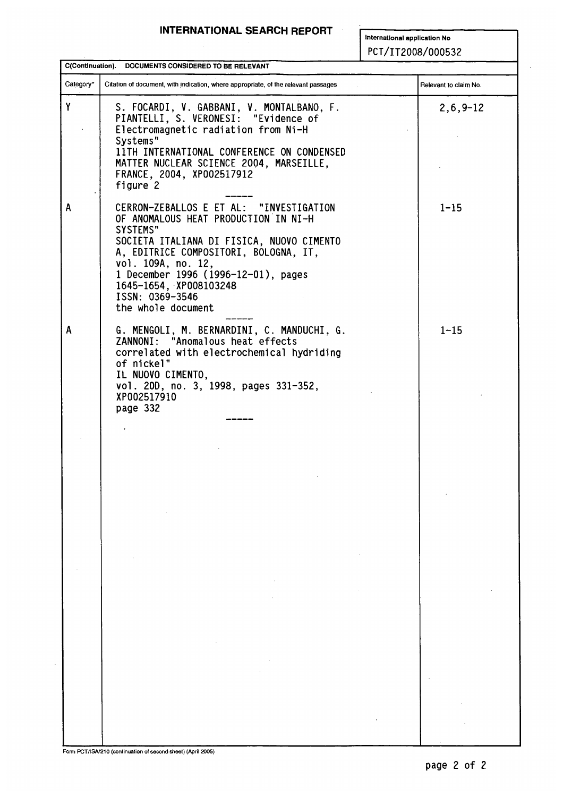## **INTERNATIONAL SEARCH REPORT**

**International application No**  PCT/IT2008/000532

|           | C(Continuation). DOCUMENTS CONSIDERED TO BE RELEVANT                                                                                                                                                                                                                                                              |                       |
|-----------|-------------------------------------------------------------------------------------------------------------------------------------------------------------------------------------------------------------------------------------------------------------------------------------------------------------------|-----------------------|
| Category* | Citation of document, with indication, where appropriate, of the relevant passages                                                                                                                                                                                                                                | Relevant to claim No. |
| Y         | S. FOCARDI, V. GABBANI, V. MONTALBANO, F.<br>PIANTELLI, S. VERONESI: "Evidence of<br>Electromagnetic radiation from Ni-H<br>Systems"<br>11TH INTERNATIONAL CONFERENCE ON CONDENSED<br>MATTER NUCLEAR SCIENCE 2004, MARSEILLE,<br>FRANCE, 2004, XP002517912<br>figure 2                                            | $2, 6, 9 - 12$        |
| A         | CERRON-ZEBALLOS E ET AL: "INVESTIGATION<br>OF ANOMALOUS HEAT PRODUCTION IN NI-H<br>SYSTEMS"<br>SOCIETA ITALIANA DI FISICA, NUOVO CIMENTO<br>A, EDITRICE COMPOSITORI, BOLOGNA, IT,<br>vol. 109A, no. 12,<br>1 December 1996 (1996-12-01), pages<br>1645-1654, XP008103248<br>ISSN: 0369-3546<br>the whole document | $1 - 15$              |
| A         | G. MENGOLI, M. BERNARDINI, C. MANDUCHI, G.<br>ZANNONI: "Anomalous heat effects<br>correlated with electrochemical hydriding<br>of nickel"<br>IL NUOVO CIMENTO,<br>vol. 20D, no. 3, 1998, pages 331-352,<br>XP002517910<br>page 332                                                                                | $1 - 15$              |
|           |                                                                                                                                                                                                                                                                                                                   |                       |
|           |                                                                                                                                                                                                                                                                                                                   |                       |